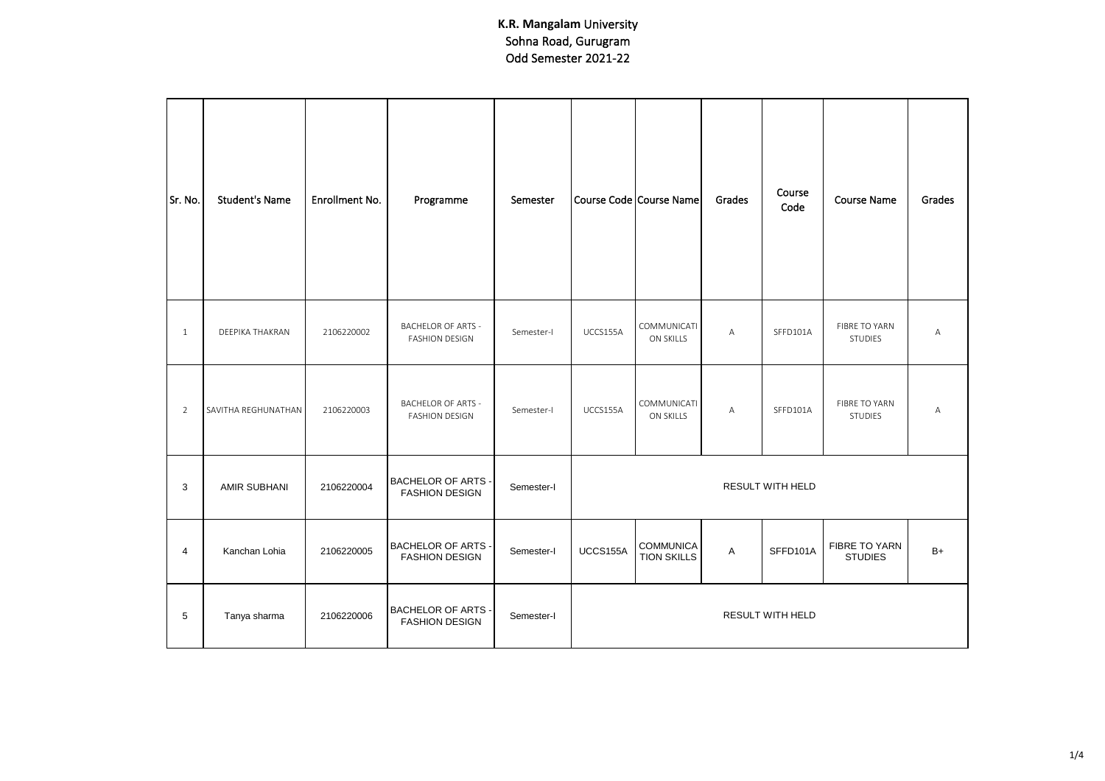| Sr. No.        | <b>Student's Name</b> | Enrollment No. | Programme                                          | Semester   |                  | Course Code Course Name                | Grades | Course<br>Code | <b>Course Name</b>              | Grades |
|----------------|-----------------------|----------------|----------------------------------------------------|------------|------------------|----------------------------------------|--------|----------------|---------------------------------|--------|
| $\mathbf{1}$   | DEEPIKA THAKRAN       | 2106220002     | <b>BACHELOR OF ARTS -</b><br><b>FASHION DESIGN</b> | Semester-I | UCCS155A         | COMMUNICATI<br>ON SKILLS               | Α      | SFFD101A       | FIBRE TO YARN<br><b>STUDIES</b> | Α      |
| $\overline{2}$ | SAVITHA REGHUNATHAN   | 2106220003     | <b>BACHELOR OF ARTS -</b><br><b>FASHION DESIGN</b> | Semester-I | UCCS155A         | COMMUNICATI<br>ON SKILLS               | Α      | SFFD101A       | FIBRE TO YARN<br><b>STUDIES</b> | Α      |
| 3              | <b>AMIR SUBHANI</b>   | 2106220004     | <b>BACHELOR OF ARTS -</b><br><b>FASHION DESIGN</b> | Semester-I | RESULT WITH HELD |                                        |        |                |                                 |        |
| $\overline{4}$ | Kanchan Lohia         | 2106220005     | <b>BACHELOR OF ARTS -</b><br><b>FASHION DESIGN</b> | Semester-I | UCCS155A         | <b>COMMUNICA</b><br><b>TION SKILLS</b> | A      | SFFD101A       | FIBRE TO YARN<br><b>STUDIES</b> | $B+$   |
| $\sqrt{5}$     | Tanya sharma          | 2106220006     | <b>BACHELOR OF ARTS -</b><br><b>FASHION DESIGN</b> | Semester-I | RESULT WITH HELD |                                        |        |                |                                 |        |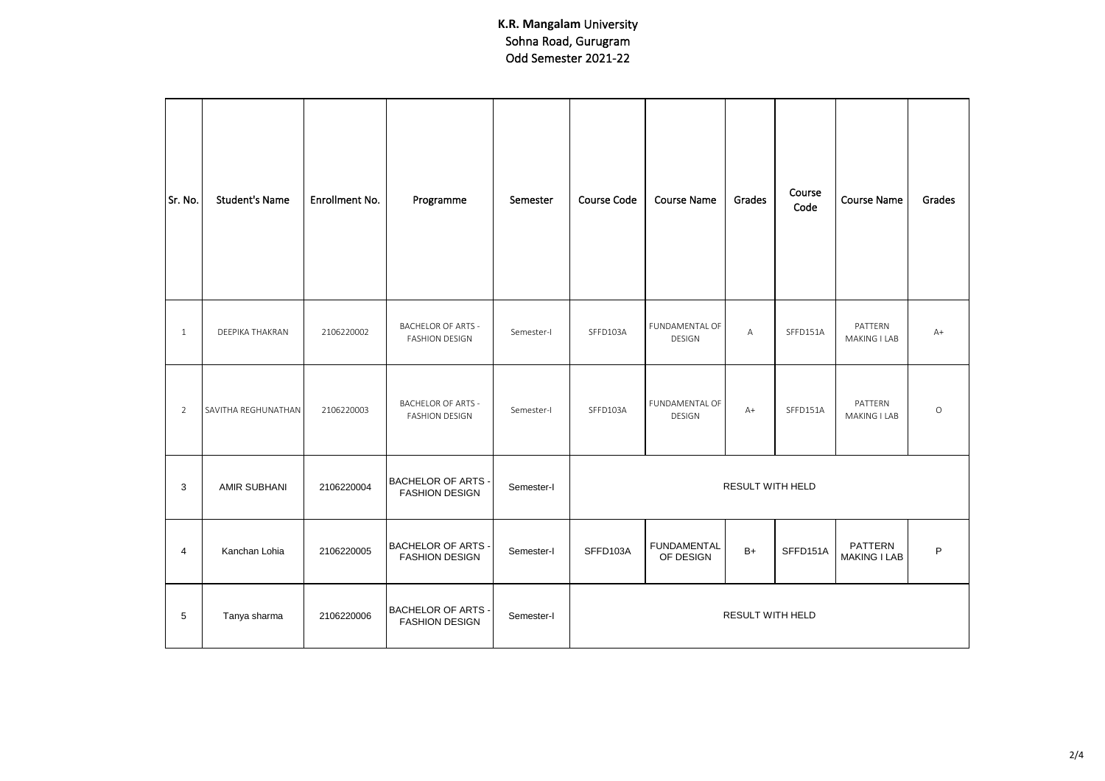| Sr. No.        | <b>Student's Name</b> | Enrollment No. | Programme                                          | Semester   | <b>Course Code</b>      | <b>Course Name</b>              | Grades | Course<br>Code | <b>Course Name</b>             | Grades  |
|----------------|-----------------------|----------------|----------------------------------------------------|------------|-------------------------|---------------------------------|--------|----------------|--------------------------------|---------|
| $\mathbf{1}$   | DEEPIKA THAKRAN       | 2106220002     | <b>BACHELOR OF ARTS -</b><br><b>FASHION DESIGN</b> | Semester-I | SFFD103A                | FUNDAMENTAL OF<br>DESIGN        | А      | SFFD151A       | PATTERN<br>MAKING I LAB        | $A+$    |
| $\overline{2}$ | SAVITHA REGHUNATHAN   | 2106220003     | <b>BACHELOR OF ARTS -</b><br><b>FASHION DESIGN</b> | Semester-I | SFFD103A                | FUNDAMENTAL OF<br>DESIGN        | $A+$   | SFFD151A       | PATTERN<br>MAKING I LAB        | $\circ$ |
| 3              | <b>AMIR SUBHANI</b>   | 2106220004     | <b>BACHELOR OF ARTS</b><br><b>FASHION DESIGN</b>   | Semester-I | <b>RESULT WITH HELD</b> |                                 |        |                |                                |         |
| $\overline{4}$ | Kanchan Lohia         | 2106220005     | <b>BACHELOR OF ARTS -</b><br><b>FASHION DESIGN</b> | Semester-I | SFFD103A                | <b>FUNDAMENTAL</b><br>OF DESIGN | $B+$   | SFFD151A       | PATTERN<br><b>MAKING I LAB</b> | P       |
| $\sqrt{5}$     | Tanya sharma          | 2106220006     | <b>BACHELOR OF ARTS -</b><br><b>FASHION DESIGN</b> | Semester-I | <b>RESULT WITH HELD</b> |                                 |        |                |                                |         |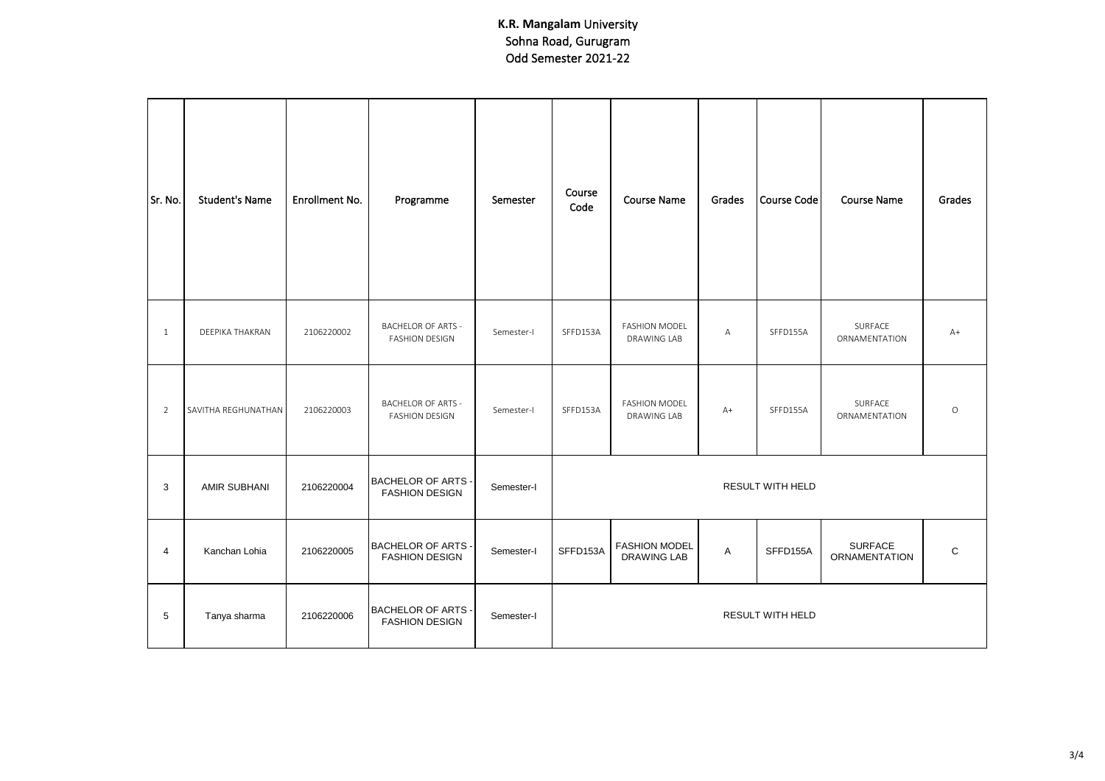| Sr. No.        | <b>Student's Name</b> | <b>Enrollment No.</b> | Programme                                          | Semester   | Course<br>Code          | <b>Course Name</b>                         | Grades | Course Code | <b>Course Name</b>                     | Grades      |
|----------------|-----------------------|-----------------------|----------------------------------------------------|------------|-------------------------|--------------------------------------------|--------|-------------|----------------------------------------|-------------|
| 1              | DEEPIKA THAKRAN       | 2106220002            | <b>BACHELOR OF ARTS -</b><br><b>FASHION DESIGN</b> | Semester-I | SFFD153A                | <b>FASHION MODEL</b><br>DRAWING LAB        | Α      | SFFD155A    | SURFACE<br>ORNAMENTATION               | $A+$        |
| 2              | SAVITHA REGHUNATHAN   | 2106220003            | <b>BACHELOR OF ARTS -</b><br><b>FASHION DESIGN</b> | Semester-I | SFFD153A                | <b>FASHION MODEL</b><br>DRAWING LAB        | $A+$   | SFFD155A    | SURFACE<br>ORNAMENTATION               | $\circ$     |
| 3              | AMIR SUBHANI          | 2106220004            | <b>BACHELOR OF ARTS</b><br><b>FASHION DESIGN</b>   | Semester-I | <b>RESULT WITH HELD</b> |                                            |        |             |                                        |             |
| $\overline{4}$ | Kanchan Lohia         | 2106220005            | <b>BACHELOR OF ARTS</b><br><b>FASHION DESIGN</b>   | Semester-I | SFFD153A                | <b>FASHION MODEL</b><br><b>DRAWING LAB</b> | A      | SFFD155A    | <b>SURFACE</b><br><b>ORNAMENTATION</b> | $\mathsf C$ |
| $\sqrt{5}$     | Tanya sharma          | 2106220006            | <b>BACHELOR OF ARTS</b><br><b>FASHION DESIGN</b>   | Semester-I | RESULT WITH HELD        |                                            |        |             |                                        |             |